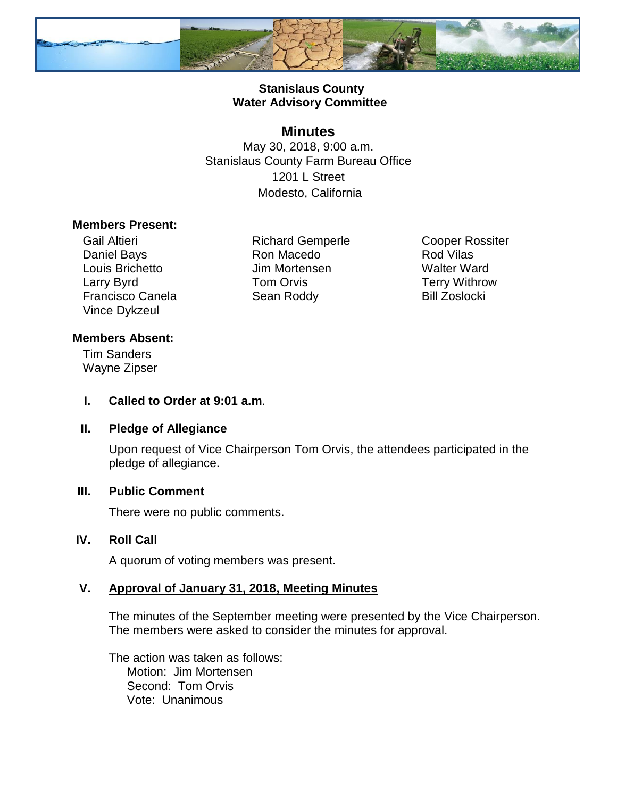

## **Stanislaus County Water Advisory Committee**

## **Minutes**

May 30, 2018, 9:00 a.m. Stanislaus County Farm Bureau Office 1201 L Street Modesto, California

#### **Members Present:**

Gail Altieri Daniel Bays Louis Brichetto Larry Byrd Francisco Canela Vince Dykzeul

Richard Gemperle Ron Macedo Jim Mortensen Tom Orvis Sean Roddy

Cooper Rossiter Rod Vilas Walter Ward Terry Withrow Bill Zoslocki

## **Members Absent:**

Tim Sanders Wayne Zipser

**I. Called to Order at 9:01 a.m**.

#### **II. Pledge of Allegiance**

Upon request of Vice Chairperson Tom Orvis, the attendees participated in the pledge of allegiance.

#### **III. Public Comment**

There were no public comments.

#### **IV. Roll Call**

A quorum of voting members was present.

## **V. Approval of January 31, 2018, Meeting Minutes**

The minutes of the September meeting were presented by the Vice Chairperson. The members were asked to consider the minutes for approval.

The action was taken as follows: Motion: Jim Mortensen Second: Tom Orvis Vote: Unanimous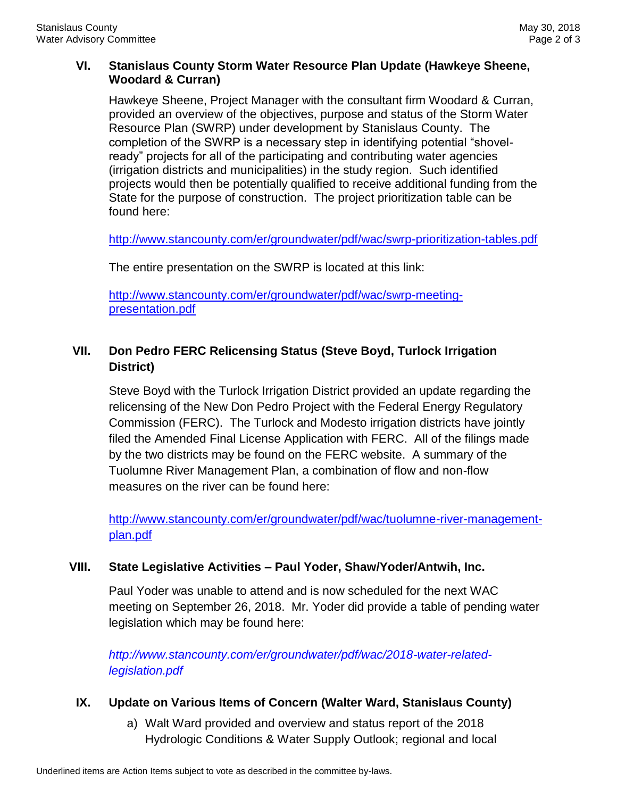## **VI. Stanislaus County Storm Water Resource Plan Update (Hawkeye Sheene, Woodard & Curran)**

Hawkeye Sheene, Project Manager with the consultant firm Woodard & Curran, provided an overview of the objectives, purpose and status of the Storm Water Resource Plan (SWRP) under development by Stanislaus County. The completion of the SWRP is a necessary step in identifying potential "shovelready" projects for all of the participating and contributing water agencies (irrigation districts and municipalities) in the study region. Such identified projects would then be potentially qualified to receive additional funding from the State for the purpose of construction. The project prioritization table can be found here:

<http://www.stancounty.com/er/groundwater/pdf/wac/swrp-prioritization-tables.pdf>

The entire presentation on the SWRP is located at this link:

[http://www.stancounty.com/er/groundwater/pdf/wac/swrp-meeting](http://www.stancounty.com/er/groundwater/pdf/wac/swrp-meeting-presentation.pdf)[presentation.pdf](http://www.stancounty.com/er/groundwater/pdf/wac/swrp-meeting-presentation.pdf)

## **VII. Don Pedro FERC Relicensing Status (Steve Boyd, Turlock Irrigation District)**

Steve Boyd with the Turlock Irrigation District provided an update regarding the relicensing of the New Don Pedro Project with the Federal Energy Regulatory Commission (FERC). The Turlock and Modesto irrigation districts have jointly filed the Amended Final License Application with FERC. All of the filings made by the two districts may be found on the FERC website. A summary of the Tuolumne River Management Plan, a combination of flow and non-flow measures on the river can be found here:

[http://www.stancounty.com/er/groundwater/pdf/wac/tuolumne-river-management](http://www.stancounty.com/er/groundwater/pdf/wac/tuolumne-river-management-)[plan.pdf](http://www.stancounty.com/er/groundwater/pdf/wac/tuolumne-river-management-)

#### **VIII. State Legislative Activities – Paul Yoder, Shaw/Yoder/Antwih, Inc.**

Paul Yoder was unable to attend and is now scheduled for the next WAC meeting on September 26, 2018. Mr. Yoder did provide a table of pending water legislation which may be found here:

*http://www.stancounty.com/er/groundwater/pdf/wac/2018-water-relatedlegislation.pdf*

## **IX. Update on Various Items of Concern (Walter Ward, Stanislaus County)**

a) Walt Ward provided and overview and status report of the 2018 Hydrologic Conditions & Water Supply Outlook; regional and local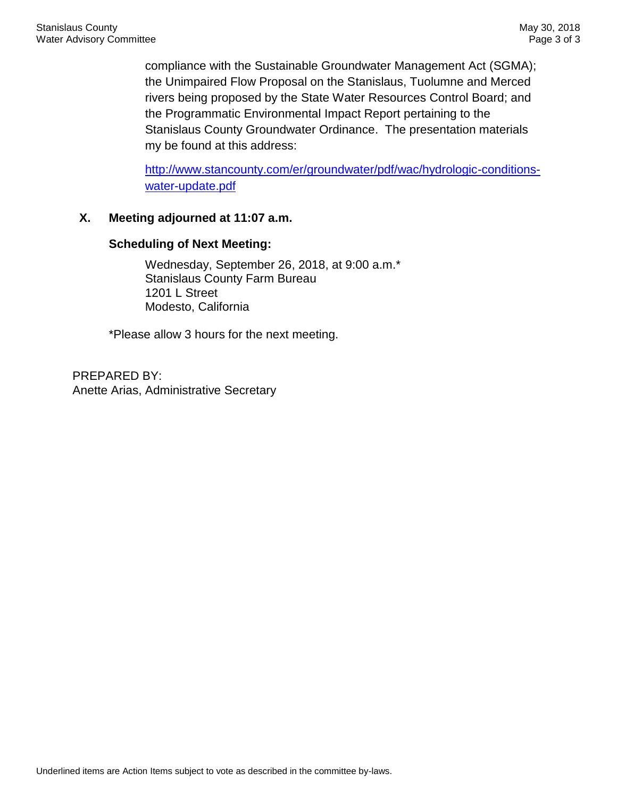compliance with the Sustainable Groundwater Management Act (SGMA); the Unimpaired Flow Proposal on the Stanislaus, Tuolumne and Merced rivers being proposed by the State Water Resources Control Board; and the Programmatic Environmental Impact Report pertaining to the Stanislaus County Groundwater Ordinance. The presentation materials my be found at this address:

[http://www.stancounty.com/er/groundwater/pdf/wac/hydrologic-conditions](http://www.stancounty.com/er/groundwater/pdf/wac/hydrologic-conditions-water-update.pdf)[water-update.pdf](http://www.stancounty.com/er/groundwater/pdf/wac/hydrologic-conditions-water-update.pdf)

## **X. Meeting adjourned at 11:07 a.m.**

#### **Scheduling of Next Meeting:**

Wednesday, September 26, 2018, at 9:00 a.m.\* Stanislaus County Farm Bureau 1201 L Street Modesto, California

\*Please allow 3 hours for the next meeting.

PREPARED BY: Anette Arias, Administrative Secretary